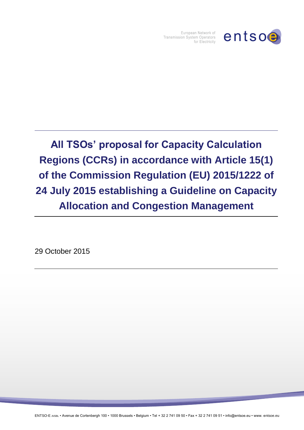

European Network of Transmission System Operators for Electricity

**All TSOs' proposal for Capacity Calculation Regions (CCRs) in accordance with Article 15(1) of the Commission Regulation (EU) 2015/1222 of 24 July 2015 establishing a Guideline on Capacity Allocation and Congestion Management**

29 October 2015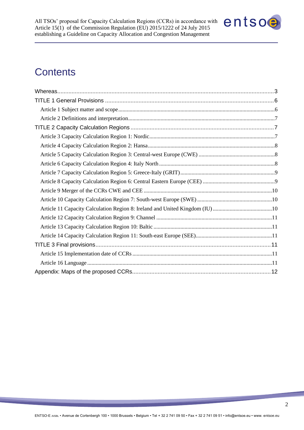

# **Contents**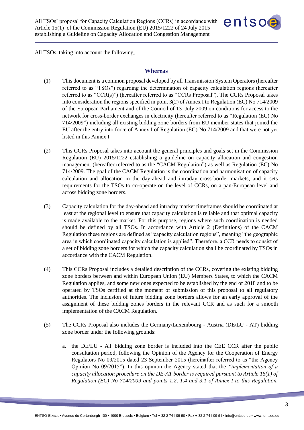

<span id="page-2-0"></span>All TSOs, taking into account the following,

#### **Whereas**

- (1) This document is a common proposal developed by all Transmission System Operators (hereafter referred to as "TSOs") regarding the determination of capacity calculation regions (hereafter referred to as "CCR(s)") (hereafter referred to as "CCRs Proposal"). The CCRs Proposal takes into consideration the regions specified in point 3(2) of Annex I to Regulation (EC) No 714/2009 of the European Parliament and of the Council of 13 July 2009 on conditions for access to the network for cross-border exchanges in electricity (hereafter referred to as "Regulation (EC) No 714/2009") including all existing bidding zone borders from EU member states that joined the EU after the entry into force of Annex I of Regulation (EC) No 714/2009 and that were not yet listed in this Annex I.
- (2) This CCRs Proposal takes into account the general principles and goals set in the Commission Regulation (EU) 2015/1222 establishing a guideline on capacity allocation and congestion management (hereafter referred to as the "CACM Regulation") as well as Regulation (EC) No 714/2009. The goal of the CACM Regulation is the coordination and harmonisation of capacity calculation and allocation in the day-ahead and intraday cross-border markets, and it sets requirements for the TSOs to co-operate on the level of CCRs, on a pan-European level and across bidding zone borders.
- (3) Capacity calculation for the day-ahead and intraday market timeframes should be coordinated at least at the regional level to ensure that capacity calculation is reliable and that optimal capacity is made available to the market. For this purpose, regions where such coordination is needed should be defined by all TSOs. In accordance with Article 2 (Definitions) of the CACM Regulation these regions are defined as "capacity calculation regions", meaning "the geographic area in which coordinated capacity calculation is applied". Therefore, a CCR needs to consist of a set of bidding zone borders for which the capacity calculation shall be coordinated by TSOs in accordance with the CACM Regulation.
- (4) This CCRs Proposal includes a detailed description of the CCRs, covering the existing bidding zone borders between and within European Union (EU) Members States, to which the CACM Regulation applies, and some new ones expected to be established by the end of 2018 and to be operated by TSOs certified at the moment of submission of this proposal to all regulatory authorities. The inclusion of future bidding zone borders allows for an early approval of the assignment of these bidding zones borders in the relevant CCR and as such for a smooth implementation of the CACM Regulation.
- (5) The CCRs Proposal also includes the Germany/Luxembourg Austria (DE/LU AT) bidding zone border under the following grounds:
	- a. the DE/LU AT bidding zone border is included into the CEE CCR after the public consultation period, following the Opinion of the Agency for the Cooperation of Energy Regulators No 09/2015 dated 23 September 2015 (hereinafter referred to as "the Agency Opinion No 09/2015"). In this opinion the Agency stated that the *"implementation of a capacity allocation procedure on the DE-AT border is required pursuant to Article 16(1) of Regulation (EC) No 714/2009 and points 1.2, 1.4 and 3.1 of Annex I to this Regulation.*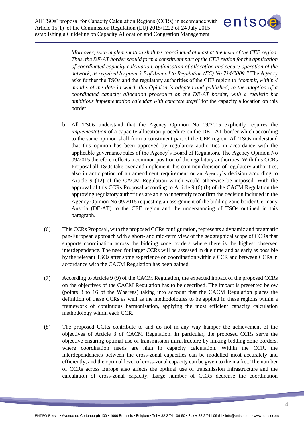

*Moreover, such implementation shall be coordinated at least at the level of the CEE region. Thus, the DE-AT border should form a constituent part of the CEE region for the application of coordinated capacity calculation, optimisation of allocation and secure operation of the network, as required by point 3.5 of Annex I to Regulation (EC) No 714/2009."* The Agency asks further the TSOs and the regulatory authorities of the CEE region to "*commit, within 4 months of the date in which this Opinion is adopted and published, to the adoption of a coordinated capacity allocation procedure on the DE-AT border, with a realistic but ambitious implementation calendar with concrete steps*" for the capacity allocation on this border.

- b. All TSOs understand that the Agency Opinion No 09/2015 explicitly requires the *implementation* of a capacity allocation procedure on the DE - AT border which according to the same opinion shall form a constituent part of the CEE region. All TSOs understand that this opinion has been approved by regulatory authorities in accordance with the applicable governance rules of the Agency's Board of Regulators. The Agency Opinion No 09/2015 therefore reflects a common position of the regulatory authorities. With this CCRs Proposal all TSOs take over and implement this common decision of regulatory authorities, also in anticipation of an amendment requirement or an Agency's decision according to Article 9 (12) of the CACM Regulation which would otherwise be imposed. With the approval of this CCRs Proposal according to Article 9 (6) (b) of the CACM Regulation the approving regulatory authorities are able to inherently reconfirm the decision included in the Agency Opinion No 09/2015 requesting an assignment of the bidding zone border Germany Austria (DE-AT) to the CEE region and the understanding of TSOs outlined in this paragraph.
- (6) This CCRs Proposal, with the proposed CCRs configuration, represents a dynamic and pragmatic pan-European approach with a short- and mid-term view of the geographical scope of CCRs that supports coordination across the bidding zone borders where there is the highest observed interdependence. The need for larger CCRs will be assessed in due time and as early as possible by the relevant TSOs after some experience on coordination within a CCR and between CCRs in accordance with the CACM Regulation has been gained.
- (7) According to Article 9 (9) of the CACM Regulation, the expected impact of the proposed CCRs on the objectives of the CACM Regulation has to be described. The impact is presented below (points 8 to 16 of the Whereas) taking into account that the CACM Regulation places the definition of these CCRs as well as the methodologies to be applied in these regions within a framework of continuous harmonisation, applying the most efficient capacity calculation methodology within each CCR.
- (8) The proposed CCRs contribute to and do not in any way hamper the achievement of the objectives of Article 3 of CACM Regulation. In particular, the proposed CCRs serve the objective ensuring optimal use of transmission infrastructure by linking bidding zone borders, where coordination needs are high in capacity calculation. Within the CCR, the interdependencies between the cross-zonal capacities can be modelled most accurately and efficiently, and the optimal level of cross-zonal capacity can be given to the market. The number of CCRs across Europe also affects the optimal use of transmission infrastructure and the calculation of cross-zonal capacity. Large number of CCRs decrease the coordination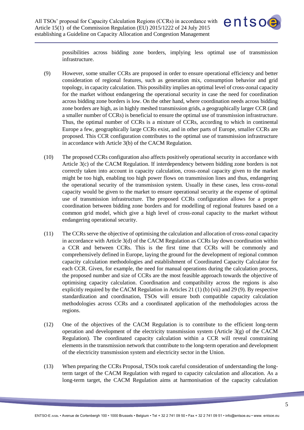

possibilities across bidding zone borders, implying less optimal use of transmission infrastructure.

- (9) However, some smaller CCRs are proposed in order to ensure operational efficiency and better consideration of regional features, such as generation mix, consumption behavior and grid topology, in capacity calculation. This possibility implies an optimal level of cross-zonal capacity for the market without endangering the operational security in case the need for coordination across bidding zone borders is low. On the other hand, where coordination needs across bidding zone borders are high, as in highly meshed transmission grids, a geographically larger CCR (and a smaller number of CCRs) is beneficial to ensure the optimal use of transmission infrastructure. Thus, the optimal number of CCRs is a mixture of CCRs, according to which in continental Europe a few, geographically large CCRs exist, and in other parts of Europe, smaller CCRs are proposed. This CCR configuration contributes to the optimal use of transmission infrastructure in accordance with Article 3(b) of the CACM Regulation.
- (10) The proposed CCRs configuration also affects positively operational security in accordance with Article 3(c) of the CACM Regulation. If interdependency between bidding zone borders is not correctly taken into account in capacity calculation, cross-zonal capacity given to the market might be too high, enabling too high power flows on transmission lines and thus, endangering the operational security of the transmission system. Usually in these cases, less cross-zonal capacity would be given to the market to ensure operational security at the expense of optimal use of transmission infrastructure. The proposed CCRs configuration allows for a proper coordination between bidding zone borders and for modelling of regional features based on a common grid model, which give a high level of cross-zonal capacity to the market without endangering operational security.
- (11) The CCRs serve the objective of optimising the calculation and allocation of cross-zonal capacity in accordance with Article 3(d) of the CACM Regulation as CCRs lay down coordination within a CCR and between CCRs. This is the first time that CCRs will be commonly and comprehensively defined in Europe, laying the ground for the development of regional common capacity calculation methodologies and establishment of Coordinated Capacity Calculator for each CCR. Given, for example, the need for manual operations during the calculation process, the proposed number and size of CCRs are the most feasible approach towards the objective of optimising capacity calculation. Coordination and compatibility across the regions is also explicitly required by the CACM Regulation in Articles 21 (1) (b) (vii) and 29 (9). By respective standardization and coordination, TSOs will ensure both compatible capacity calculation methodologies across CCRs and a coordinated application of the methodologies across the regions.
- (12) One of the objectives of the CACM Regulation is to contribute to the efficient long-term operation and development of the electricity transmission system (Article 3(g) of the CACM Regulation). The coordinated capacity calculation within a CCR will reveal constraining elements in the transmission network that contribute to the long-term operation and development of the electricity transmission system and electricity sector in the Union.
- (13) When preparing the CCRs Proposal, TSOs took careful consideration of understanding the longterm target of the CACM Regulation with regard to capacity calculation and allocation. As a long-term target, the CACM Regulation aims at harmonisation of the capacity calculation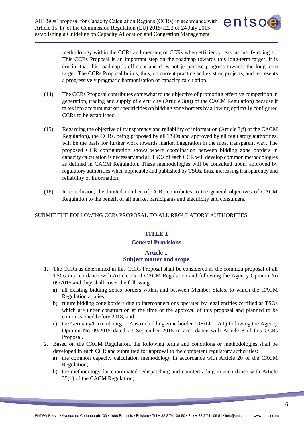

methodology within the CCRs and merging of CCRs when efficiency reasons justify doing so. This CCRs Proposal is an important step on the roadmap towards this long-term target. It is crucial that this roadmap is efficient and does not jeopardise progress towards the long-term target. The CCRs Proposal builds, thus, on current practice and existing projects, and represents a progressively pragmatic harmonisation of capacity calculation.

- (14) The CCRs Proposal contributes somewhat to the objective of promoting effective competition in generation, trading and supply of electricity (Article 3(a)) of the CACM Regulation) because it takes into account market specificities on bidding zone borders by allowing optimally configured CCRs to be established.
- (15) Regarding the objective of transparency and reliability of information (Article 3(f) of the CACM Regulation), the CCRs, being proposed by all TSOs and approved by all regulatory authorities, will be the basis for further work towards market integration in the most transparent way. The proposed CCR configuration shows where coordination between bidding zone borders in capacity calculation is necessary and all TSOs of each CCR will develop common methodologies as defined in CACM Regulation. These methodologies will be consulted upon, approved by regulatory authorities when applicable and published by TSOs, thus, increasing transparency and reliability of information.
- (16) In conclusion, the limited number of CCRs contributes to the general objectives of CACM Regulation to the benefit of all market participants and electricity end consumers.

#### <span id="page-5-0"></span>SUBMIT THE FOLLOWING CCRs PROPOSAL TO ALL REGULATORY AUTHORITIES:

#### **TITLE 1**

#### **General Provisions**

# **Article 1 Subject matter and scope**

- <span id="page-5-1"></span>1. The CCRs as determined in this CCRs Proposal shall be considered as the common proposal of all TSOs in accordance with Article 15 of CACM Regulation and following the Agency Opinion No 09/2015 and they shall cover the following:
	- a) all existing bidding zones borders within and between Member States, to which the CACM Regulation applies;
	- b) future bidding zone borders due to interconnections operated by legal entities certified as TSOs which are under construction at the time of the approval of this proposal and planned to be commissioned before 2018; and
	- c) the Germany/Luxembourg Austria bidding zone border (DE/LU AT) following the Agency Opinion No 09/2015 dated 23 September 2015 in accordance with Article 8 of this CCRs Proposal.
- 2. Based on the CACM Regulation, the following terms and conditions or methodologies shall be developed in each CCR and submitted for approval to the competent regulatory authorities:
	- a) the common capacity calculation methodology in accordance with Article 20 of the CACM Regulation;
	- b) the methodology for coordinated redispatching and countertrading in accordance with Article 35(1) of the CACM Regulation;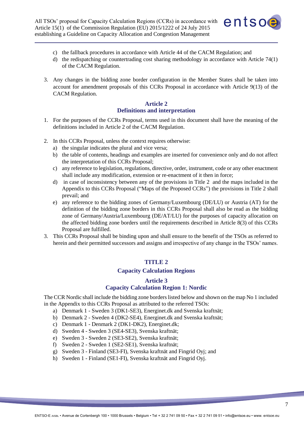

- c) the fallback procedures in accordance with Article 44 of the CACM Regulation; and
- d) the redispatching or countertrading cost sharing methodology in accordance with Article 74(1) of the CACM Regulation.
- 3. Any changes in the bidding zone border configuration in the Member States shall be taken into account for amendment proposals of this CCRs Proposal in accordance with Article 9(13) of the CACM Regulation.

# **Article 2 Definitions and interpretation**

- <span id="page-6-0"></span>1. For the purposes of the CCRs Proposal, terms used in this document shall have the meaning of the definitions included in Article 2 of the CACM Regulation.
- 2. In this CCRs Proposal, unless the context requires otherwise:
	- a) the singular indicates the plural and vice versa;
	- b) the table of contents, headings and examples are inserted for convenience only and do not affect the interpretation of this CCRs Proposal;
	- c) any reference to legislation, regulations, directive, order, instrument, code or any other enactment shall include any modification, extension or re-enactment of it then in force;
	- d) in case of inconsistency between any of the provisions in Title 2 and the maps included in the Appendix to this CCRs Proposal ("Maps of the Proposed CCRs") the provisions in Title 2 shall prevail; and
	- e) any reference to the bidding zones of Germany/Luxembourg (DE/LU) or Austria (AT) for the definition of the bidding zone borders in this CCRs Proposal shall also be read as the bidding zone of Germany/Austria/Luxembourg (DE/AT/LU) for the purposes of capacity allocation on the affected bidding zone borders until the requirements described in Article 8(3) of this CCRs Proposal are fulfilled.
- <span id="page-6-1"></span>3. This CCRs Proposal shall be binding upon and shall ensure to the benefit of the TSOs as referred to herein and their permitted successors and assigns and irrespective of any change in the TSOs' names.

# **TITLE 2**

# **Capacity Calculation Regions**

## **Article 3 Capacity Calculation Region 1: Nordic**

<span id="page-6-2"></span>The CCR Nordic shall include the bidding zone borders listed below and shown on the map No 1 included in the Appendix to this CCRs Proposal as attributed to the referred TSOs:

- a) Denmark 1 Sweden 3 (DK1-SE3), Energinet.dk and Svenska kraftnät;
- b) Denmark 2 Sweden 4 (DK2-SE4), Energinet.dk and Svenska kraftnät;
- c) Denmark 1 Denmark 2 (DK1-DK2), Energinet.dk;
- d) Sweden 4 Sweden 3 (SE4-SE3), Svenska kraftnät;
- e) Sweden 3 Sweden 2 (SE3-SE2), Svenska kraftnät;
- f) Sweden 2 Sweden 1 (SE2-SE1), Svenska kraftnät;
- g) Sweden 3 Finland (SE3-FI), Svenska kraftnät and Fingrid Oyj; and
- h) Sweden 1 Finland (SE1-FI), Svenska kraftnät and Fingrid Oyj.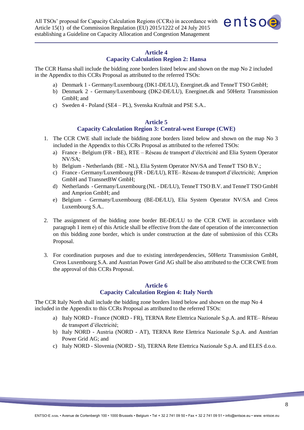

# **Article 4**

# **Capacity Calculation Region 2: Hansa**

<span id="page-7-0"></span>The CCR Hansa shall include the bidding zone borders listed below and shown on the map No 2 included in the Appendix to this CCRs Proposal as attributed to the referred TSOs:

- a) Denmark 1 Germany/Luxembourg (DK1-DE/LU), Energinet.dk and TenneT TSO GmbH;
- b) Denmark 2 Germany/Luxembourg (DK2-DE/LU), Energinet.dk and 50Hertz Transmission GmbH; and
- c) Sweden 4 Poland (SE4 PL), Svenska Kraftnät and PSE S.A..

#### **Article 5**

# **Capacity Calculation Region 3: Central-west Europe (CWE)**

- <span id="page-7-1"></span>1. The CCR CWE shall include the bidding zone borders listed below and shown on the map No 3 included in the Appendix to this CCRs Proposal as attributed to the referred TSOs:
	- a) France Belgium (FR BE), RTE Réseau de transport d'électricité and Elia System Operator NV/SA;
	- b) Belgium Netherlands (BE NL), Elia System Operator NV/SA and TenneT TSO B.V.;
	- c) France Germany/Luxembourg (FR DE/LU), RTE– Réseau de transport d'électricité; Amprion GmbH and TransnetBW GmbH;
	- d) Netherlands Germany/Luxembourg (NL DE/LU), TenneT TSO B.V. and TenneT TSO GmbH and Amprion GmbH; and
	- e) Belgium Germany/Luxembourg (BE-DE/LU), Elia System Operator NV/SA and Creos Luxembourg S.A..
- 2. The assignment of the bidding zone border BE-DE/LU to the CCR CWE in accordance with paragraph 1 item e) of this Article shall be effective from the date of operation of the interconnection on this bidding zone border, which is under construction at the date of submission of this CCRs Proposal.
- 3. For coordination purposes and due to existing interdependencies, 50Hertz Transmission GmbH, Creos Luxembourg S.A. and Austrian Power Grid AG shall be also attributed to the CCR CWE from the approval of this CCRs Proposal.

#### **Article 6 Capacity Calculation Region 4: Italy North**

<span id="page-7-2"></span>The CCR Italy North shall include the bidding zone borders listed below and shown on the map No 4 included in the Appendix to this CCRs Proposal as attributed to the referred TSOs:

- a) Italy NORD France (NORD FR), TERNA Rete Elettrica Nazionale S.p.A. and RTE– Réseau de transport d'électricité;
- b) Italy NORD Austria (NORD AT), TERNA Rete Elettrica Nazionale S.p.A. and Austrian Power Grid AG; and
- c) Italy NORD Slovenia (NORD SI), TERNA Rete Elettrica Nazionale S.p.A. and ELES d.o.o.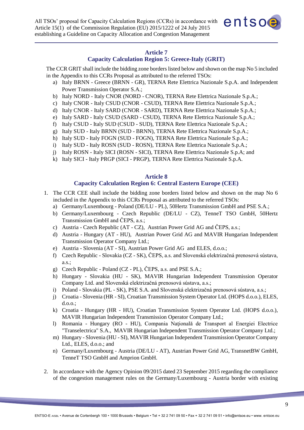

#### **Article 7**

#### **Capacity Calculation Region 5: Greece-Italy (GRIT)**

<span id="page-8-0"></span>The CCR GRIT shall include the bidding zone borders listed below and shown on the map No 5 included in the Appendix to this CCRs Proposal as attributed to the referred TSOs:

- a) Italy BRNN Greece (BRNN GR), TERNA Rete Elettrica Nazionale S.p.A. and Independent Power Transmission Operator S.A.;
- b) Italy NORD Italy CNOR (NORD CNOR), TERNA Rete Elettrica Nazionale S.p.A.;
- c) Italy CNOR Italy CSUD (CNOR CSUD), TERNA Rete Elettrica Nazionale S.p.A.;
- d) Italy CNOR Italy SARD (CNOR SARD), TERNA Rete Elettrica Nazionale S.p.A.;
- e) Italy SARD Italy CSUD (SARD CSUD), TERNA Rete Elettrica Nazionale S.p.A.;
- f) Italy CSUD Italy SUD (CSUD SUD), TERNA Rete Elettrica Nazionale S.p.A.;
- g) Italy SUD Italy BRNN (SUD BRNN), TERNA Rete Elettrica Nazionale S.p.A.;
- h) Italy SUD Italy FOGN (SUD FOGN), TERNA Rete Elettrica Nazionale S.p.A.;
- i) Italy SUD Italy ROSN (SUD ROSN), TERNA Rete Elettrica Nazionale S.p.A.;
- j) Italy ROSN Italy SICI (ROSN SICI), TERNA Rete Elettrica Nazionale S.p.A; and
- k) Italy SICI Italy PRGP (SICI PRGP), TERNA Rete Elettrica Nazionale S.p.A.

#### **Article 8**

## **Capacity Calculation Region 6: Central Eastern Europe (CEE)**

- <span id="page-8-1"></span>1. The CCR CEE shall include the bidding zone borders listed below and shown on the map No 6 included in the Appendix to this CCRs Proposal as attributed to the referred TSOs:
	- a) Germany/Luxembourg Poland (DE/LU PL), 50Hertz Transmission GmbH and PSE S.A.;
	- b) Germany/Luxembourg Czech Republic (DE/LU CZ), TenneT TSO GmbH, 50Hertz Transmission GmbH and ČEPS, a.s.;
	- c) Austria Czech Republic (AT CZ), Austrian Power Grid AG and ČEPS, a.s.;
	- d) Austria Hungary (AT HU), Austrian Power Grid AG and MAVIR Hungarian Independent Transmission Operator Company Ltd.;
	- e) Austria Slovenia (AT SI), Austrian Power Grid AG and ELES, d.o.o.;
	- f) Czech Republic Slovakia (CZ SK), ČEPS, a.s. and Slovenská elektrizačná prenosová sústava, a.s.;
	- g) Czech Republic Poland (CZ PL), ČEPS, a.s. and PSE S.A.;
	- h) Hungary Slovakia (HU SK), MAVIR Hungarian Independent Transmission Operator Company Ltd. and Slovenská elektrizačná prenosová sústava, a.s.;
	- i) Poland Slovakia (PL SK), PSE S.A. and Slovenská elektrizačná prenosová sústava, a.s.;
	- j) Croatia Slovenia (HR SI), Croatian Transmission System Operator Ltd. (HOPS d.o.o.), ELES, d.o.o.;
	- k) Croatia Hungary (HR HU), Croatian Transmission System Operator Ltd. (HOPS d.o.o.), MAVIR Hungarian Independent Transmission Operator Company Ltd.;
	- l) Romania Hungary (RO HU), Compania Naţională de Transport al Energiei Electrice "Transelectrica" S.A., MAVIR Hungarian Independent Transmission Operator Company Ltd.;
	- m) Hungary Slovenia (HU SI), MAVIR Hungarian Independent Transmission Operator Company Ltd., ELES, d.o.o.; and
	- n) Germany/Luxembourg Austria (DE/LU AT), Austrian Power Grid AG, TransnetBW GmbH, TenneT TSO GmbH and Amprion GmbH.
- 2. In accordance with the Agency Opinion 09/2015 dated 23 September 2015 regarding the compliance of the congestion management rules on the Germany/Luxembourg - Austria border with existing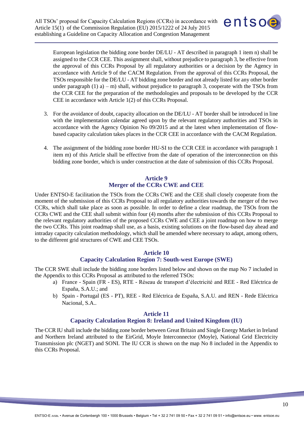

European legislation the bidding zone border DE/LU - AT described in paragraph 1 item n) shall be assigned to the CCR CEE. This assignment shall, without prejudice to paragraph 3, be effective from the approval of this CCRs Proposal by all regulatory authorities or a decision by the Agency in accordance with Article 9 of the CACM Regulation. From the approval of this CCRs Proposal, the TSOs responsible for the DE/LU - AT bidding zone border and not already listed for any other border under paragraph  $(1)$  a) – m) shall, without prejudice to paragraph 3, cooperate with the TSOs from the CCR CEE for the preparation of the methodologies and proposals to be developed by the CCR CEE in accordance with Article 1(2) of this CCRs Proposal.

- 3. For the avoidance of doubt, capacity allocation on the DE/LU AT border shall be introduced in line with the implementation calendar agreed upon by the relevant regulatory authorities and TSOs in accordance with the Agency Opinion No 09/2015 and at the latest when implementation of flowbased capacity calculation takes places in the CCR CEE in accordance with the CACM Regulation.
- 4. The assignment of the bidding zone border HU-SI to the CCR CEE in accordance with paragraph 1 item m) of this Article shall be effective from the date of operation of the interconnection on this bidding zone border, which is under construction at the date of submission of this CCRs Proposal.

## **Article 9 Merger of the CCRs CWE and CEE**

<span id="page-9-0"></span>Under ENTSO-E facilitation the TSOs from the CCRs CWE and the CEE shall closely cooperate from the moment of the submission of this CCRs Proposal to all regulatory authorities towards the merger of the two CCRs, which shall take place as soon as possible. In order to define a clear roadmap, the TSOs from the CCRs CWE and the CEE shall submit within four (4) months after the submission of this CCRs Proposal to the relevant regulatory authorities of the proposed CCRs CWE and CEE a joint roadmap on how to merge the two CCRs. This joint roadmap shall use, as a basis, existing solutions on the flow-based day ahead and intraday capacity calculation methodology, which shall be amended where necessary to adapt, among others, to the different grid structures of CWE and CEE TSOs.

# **Article 10**

# **Capacity Calculation Region 7: South-west Europe (SWE)**

<span id="page-9-1"></span>The CCR SWE shall include the bidding zone borders listed below and shown on the map No 7 included in the Appendix to this CCRs Proposal as attributed to the referred TSOs:

- a) France Spain (FR ES), RTE Réseau de transport d'électricité and REE Red Eléctrica de España, S.A.U.; and
- b) Spain Portugal (ES PT), REE Red Eléctrica de España, S.A.U. and REN Rede Eléctrica Nacional, S.A..

#### **Article 11**

# **Capacity Calculation Region 8: Ireland and United Kingdom (IU)**

<span id="page-9-2"></span>The CCR IU shall include the bidding zone border between Great Britain and Single Energy Market in Ireland and Northern Ireland attributed to the EirGrid, Moyle Interconnector (Moyle), National Grid Electricity Transmission plc (NGET) and SONI. The IU CCR is shown on the map No 8 included in the Appendix to this CCRs Proposal.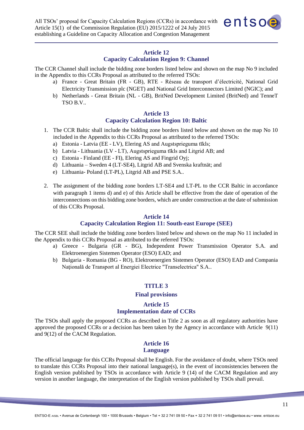

#### **Article 12**

# **Capacity Calculation Region 9: Channel**

<span id="page-10-0"></span>The CCR Channel shall include the bidding zone borders listed below and shown on the map No 9 included in the Appendix to this CCRs Proposal as attributed to the referred TSOs:

- a) France Great Britain (FR GB), RTE Réseau de transport d'électricité, National Grid Electricity Transmission plc (NGET) and National Grid Interconnectors Limited (NGIC); and
- b) Netherlands Great Britain (NL GB), BritNed Development Limited (BritNed) and TenneT TSO B.V..

# **Article 13**

# **Capacity Calculation Region 10: Baltic**

- <span id="page-10-1"></span>1. The CCR Baltic shall include the bidding zone borders listed below and shown on the map No 10 included in the Appendix to this CCRs Proposal as attributed to the referred TSOs:
	- a) Estonia Latvia (EE LV), Elering AS and Augstsprieguma tīkls;
	- b) Latvia Lithuania (LV LT), Augstsprieguma tīkls and Litgrid AB; and
	- c) Estonia Finland (EE FI), Elering AS and Fingrid Oyj;
	- d) Lithuania Sweden 4 (LT-SE4), Litgrid AB and Svenska kraftnät; and
	- e) Lithuania- Poland (LT-PL), Litgrid AB and PSE S.A..
- 2. The assignment of the bidding zone borders LT-SE4 and LT-PL to the CCR Baltic in accordance with paragraph 1 items d) and e) of this Article shall be effective from the date of operation of the interconnections on this bidding zone borders, which are under construction at the date of submission of this CCRs Proposal.

#### **Article 14**

#### **Capacity Calculation Region 11: South-east Europe (SEE)**

<span id="page-10-2"></span>The CCR SEE shall include the bidding zone borders listed below and shown on the map No 11 included in the Appendix to this CCRs Proposal as attributed to the referred TSOs:

- a) Greece Bulgaria (GR BG), Independent Power Transmission Operator S.A. and Elektroenergien Sistemen Operator (ESO) EAD; and
- <span id="page-10-3"></span>b) Bulgaria - Romania (BG - RO), Elektroenergien Sistemen Operator (ESO) EAD and Compania Natională de Transport al Energiei Electrice "Transelectrica" S.A..

#### **TITLE 3**

#### **Final provisions**

# **Article 15 Implementation date of CCRs**

<span id="page-10-4"></span>The TSOs shall apply the proposed CCRs as described in Title 2 as soon as all regulatory authorities have approved the proposed CCRs or a decision has been taken by the Agency in accordance with Article 9(11) and 9(12) of the CACM Regulation.

# **Article 16**

# **Language**

<span id="page-10-5"></span>The official language for this CCRs Proposal shall be English. For the avoidance of doubt, where TSOs need to translate this CCRs Proposal into their national language(s), in the event of inconsistencies between the English version published by TSOs in accordance with Article 9 (14) of the CACM Regulation and any version in another language, the interpretation of the English version published by TSOs shall prevail.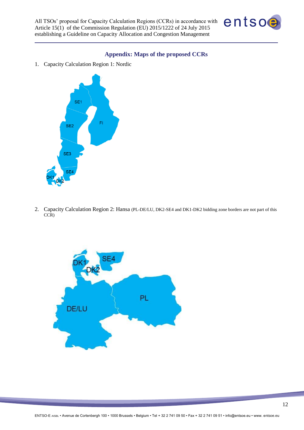

#### **Appendix: Maps of the proposed CCRs**

<span id="page-11-0"></span>1. Capacity Calculation Region 1: Nordic



2. Capacity Calculation Region 2: Hansa (PL-DE/LU, DK2-SE4 and DK1-DK2 bidding zone borders are not part of this CCR)

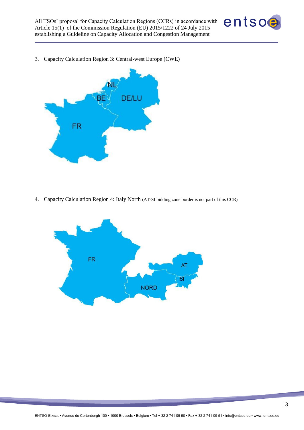

3. Capacity Calculation Region 3: Central-west Europe (CWE)



4. Capacity Calculation Region 4: Italy North (AT-SI bidding zone border is not part of this CCR)

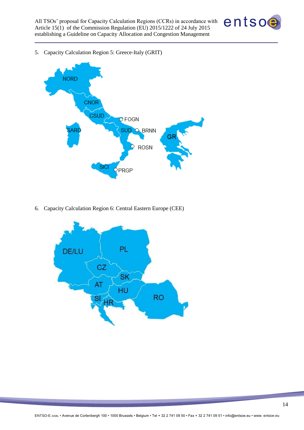

5. Capacity Calculation Region 5: Greece-Italy (GRIT)



6. Capacity Calculation Region 6: Central Eastern Europe (CEE)

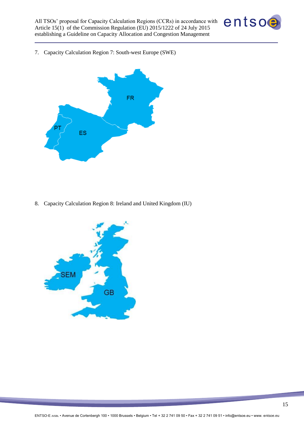

7. Capacity Calculation Region 7: South-west Europe (SWE)



8. Capacity Calculation Region 8: Ireland and United Kingdom (IU)

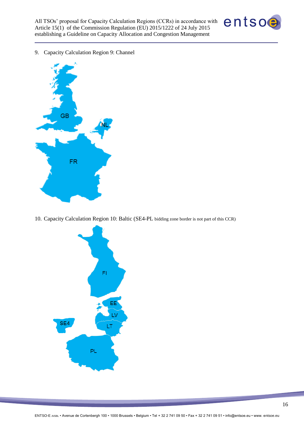

9. Capacity Calculation Region 9: Channel



10. Capacity Calculation Region 10: Baltic (SE4-PL bidding zone border is not part of this CCR)